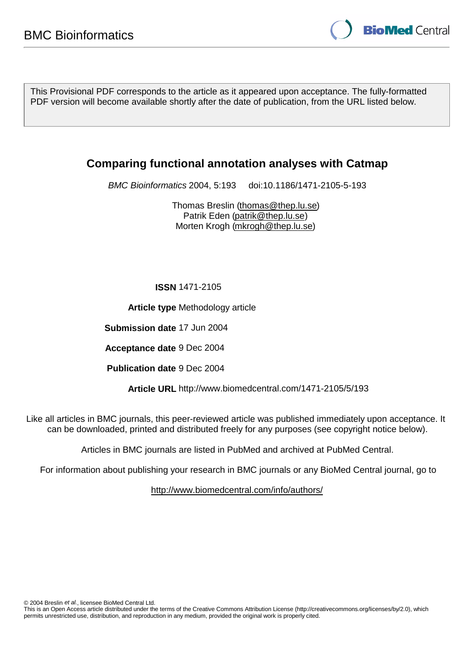

This Provisional PDF corresponds to the article as it appeared upon acceptance. The fully-formatted PDF version will become available shortly after the date of publication, from the URL listed below.

# **Comparing functional annotation analyses with Catmap**

BMC Bioinformatics 2004, 5:193 doi:10.1186/1471-2105-5-193

Thomas Breslin (thomas@thep.lu.se) Patrik Eden (patrik@thep.lu.se) Morten Krogh (mkrogh@thep.lu.se)

**ISSN** 1471-2105

**Article type** Methodology article

**Submission date** 17 Jun 2004

**Acceptance date** 9 Dec 2004

**Publication date** 9 Dec 2004

**Article URL** http://www.biomedcentral.com/1471-2105/5/193

Like all articles in BMC journals, this peer-reviewed article was published immediately upon acceptance. It can be downloaded, printed and distributed freely for any purposes (see copyright notice below).

Articles in BMC journals are listed in PubMed and archived at PubMed Central.

For information about publishing your research in BMC journals or any BioMed Central journal, go to

http://www.biomedcentral.com/info/authors/

© 2004 Breslin et al., licensee BioMed Central Ltd.

This is an Open Access article distributed under the terms of the Creative Commons Attribution License (http://creativecommons.org/licenses/by/2.0), which permits unrestricted use, distribution, and reproduction in any medium, provided the original work is properly cited.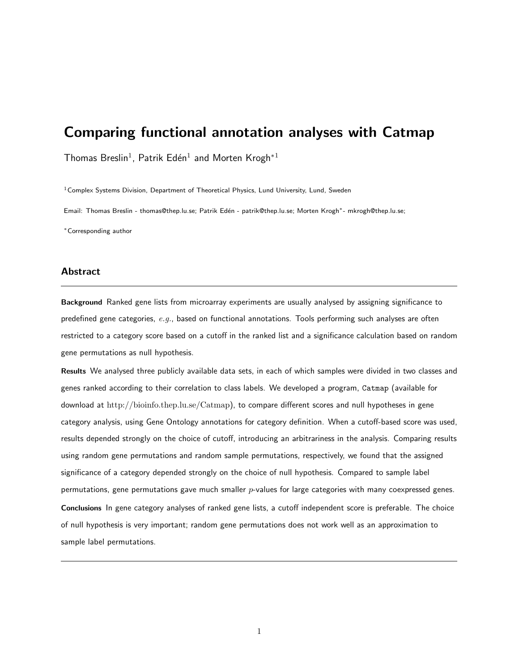# Comparing functional annotation analyses with Catmap

Thomas Breslin<sup>1</sup>, Patrik Edén<sup>1</sup> and Morten Krogh<sup>\*1</sup>

 $1$ Complex Systems Division, Department of Theoretical Physics, Lund University, Lund, Sweden

Email: Thomas Breslin - thomas@thep.lu.se; Patrik Ed´en - patrik@thep.lu.se; Morten Krogh∗- mkrogh@thep.lu.se;

<sup>∗</sup>Corresponding author

## Abstract

Background Ranked gene lists from microarray experiments are usually analysed by assigning significance to predefined gene categories, e.g., based on functional annotations. Tools performing such analyses are often restricted to a category score based on a cutoff in the ranked list and a significance calculation based on random gene permutations as null hypothesis.

Results We analysed three publicly available data sets, in each of which samples were divided in two classes and genes ranked according to their correlation to class labels. We developed a program, Catmap (available for download at http://bioinfo.thep.lu.se/Catmap), to compare different scores and null hypotheses in gene category analysis, using Gene Ontology annotations for category definition. When a cutoff-based score was used, results depended strongly on the choice of cutoff, introducing an arbitrariness in the analysis. Comparing results using random gene permutations and random sample permutations, respectively, we found that the assigned significance of a category depended strongly on the choice of null hypothesis. Compared to sample label permutations, gene permutations gave much smaller  $p$ -values for large categories with many coexpressed genes. Conclusions In gene category analyses of ranked gene lists, a cutoff independent score is preferable. The choice of null hypothesis is very important; random gene permutations does not work well as an approximation to sample label permutations.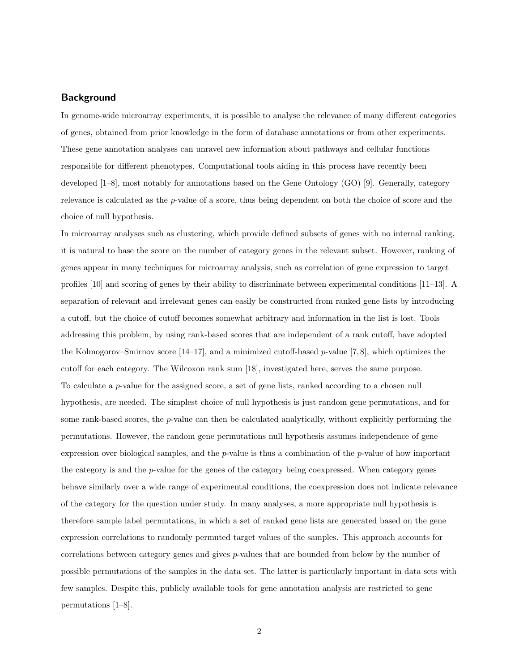#### Background

In genome-wide microarray experiments, it is possible to analyse the relevance of many different categories of genes, obtained from prior knowledge in the form of database annotations or from other experiments. These gene annotation analyses can unravel new information about pathways and cellular functions responsible for different phenotypes. Computational tools aiding in this process have recently been developed [1–8], most notably for annotations based on the Gene Ontology (GO) [9]. Generally, category relevance is calculated as the p-value of a score, thus being dependent on both the choice of score and the choice of null hypothesis.

In microarray analyses such as clustering, which provide defined subsets of genes with no internal ranking, it is natural to base the score on the number of category genes in the relevant subset. However, ranking of genes appear in many techniques for microarray analysis, such as correlation of gene expression to target profiles [10] and scoring of genes by their ability to discriminate between experimental conditions [11–13]. A separation of relevant and irrelevant genes can easily be constructed from ranked gene lists by introducing a cutoff, but the choice of cutoff becomes somewhat arbitrary and information in the list is lost. Tools addressing this problem, by using rank-based scores that are independent of a rank cutoff, have adopted the Kolmogorov–Smirnov score [14–17], and a minimized cutoff-based p-value [7, 8], which optimizes the cutoff for each category. The Wilcoxon rank sum [18], investigated here, serves the same purpose. To calculate a p-value for the assigned score, a set of gene lists, ranked according to a chosen null hypothesis, are needed. The simplest choice of null hypothesis is just random gene permutations, and for some rank-based scores, the  $p$ -value can then be calculated analytically, without explicitly performing the permutations. However, the random gene permutations null hypothesis assumes independence of gene expression over biological samples, and the  $p$ -value is thus a combination of the  $p$ -value of how important the category is and the p-value for the genes of the category being coexpressed. When category genes behave similarly over a wide range of experimental conditions, the coexpression does not indicate relevance of the category for the question under study. In many analyses, a more appropriate null hypothesis is therefore sample label permutations, in which a set of ranked gene lists are generated based on the gene expression correlations to randomly permuted target values of the samples. This approach accounts for correlations between category genes and gives p-values that are bounded from below by the number of possible permutations of the samples in the data set. The latter is particularly important in data sets with few samples. Despite this, publicly available tools for gene annotation analysis are restricted to gene permutations [1–8].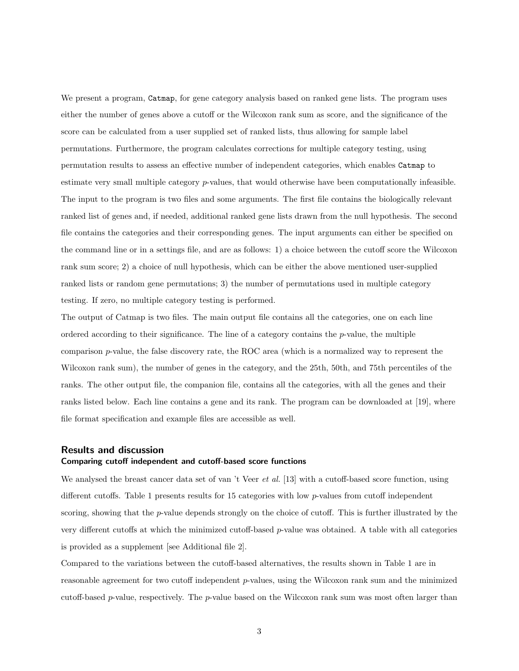We present a program, Catmap, for gene category analysis based on ranked gene lists. The program uses either the number of genes above a cutoff or the Wilcoxon rank sum as score, and the significance of the score can be calculated from a user supplied set of ranked lists, thus allowing for sample label permutations. Furthermore, the program calculates corrections for multiple category testing, using permutation results to assess an effective number of independent categories, which enables Catmap to estimate very small multiple category p-values, that would otherwise have been computationally infeasible. The input to the program is two files and some arguments. The first file contains the biologically relevant ranked list of genes and, if needed, additional ranked gene lists drawn from the null hypothesis. The second file contains the categories and their corresponding genes. The input arguments can either be specified on the command line or in a settings file, and are as follows: 1) a choice between the cutoff score the Wilcoxon rank sum score; 2) a choice of null hypothesis, which can be either the above mentioned user-supplied ranked lists or random gene permutations; 3) the number of permutations used in multiple category testing. If zero, no multiple category testing is performed.

The output of Catmap is two files. The main output file contains all the categories, one on each line ordered according to their significance. The line of a category contains the  $p$ -value, the multiple comparison p-value, the false discovery rate, the ROC area (which is a normalized way to represent the Wilcoxon rank sum), the number of genes in the category, and the 25th, 50th, and 75th percentiles of the ranks. The other output file, the companion file, contains all the categories, with all the genes and their ranks listed below. Each line contains a gene and its rank. The program can be downloaded at [19], where file format specification and example files are accessible as well.

## Results and discussion Comparing cutoff independent and cutoff-based score functions

We analysed the breast cancer data set of van 't Veer et al. [13] with a cutoff-based score function, using different cutoffs. Table 1 presents results for 15 categories with low p-values from cutoff independent scoring, showing that the p-value depends strongly on the choice of cutoff. This is further illustrated by the very different cutoffs at which the minimized cutoff-based p-value was obtained. A table with all categories is provided as a supplement [see Additional file 2].

Compared to the variations between the cutoff-based alternatives, the results shown in Table 1 are in reasonable agreement for two cutoff independent p-values, using the Wilcoxon rank sum and the minimized cutoff-based  $p$ -value, respectively. The  $p$ -value based on the Wilcoxon rank sum was most often larger than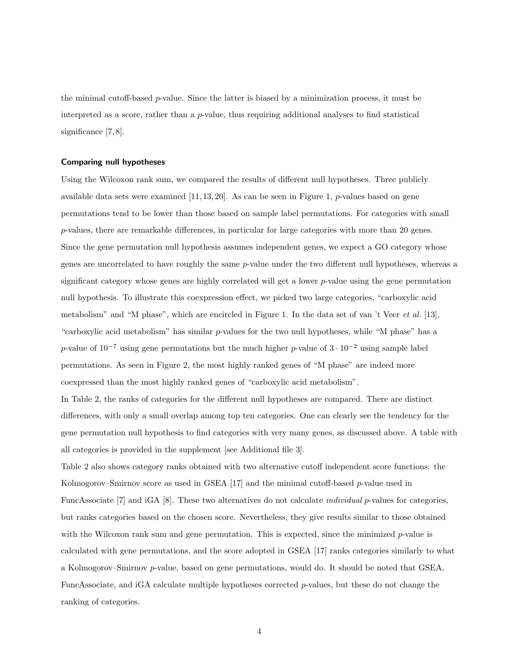the minimal cutoff-based p-value. Since the latter is biased by a minimization process, it must be interpreted as a score, rather than a *p*-value, thus requiring additional analyses to find statistical significance [7,8].

#### Comparing null hypotheses

Using the Wilcoxon rank sum, we compared the results of different null hypotheses. Three publicly available data sets were examined  $[11, 13, 20]$ . As can be seen in Figure 1, p-values based on gene permutations tend to be lower than those based on sample label permutations. For categories with small p-values, there are remarkable differences, in particular for large categories with more than 20 genes. Since the gene permutation null hypothesis assumes independent genes, we expect a GO category whose genes are uncorrelated to have roughly the same p-value under the two different null hypotheses, whereas a significant category whose genes are highly correlated will get a lower p-value using the gene permutation null hypothesis. To illustrate this coexpression effect, we picked two large categories, "carboxylic acid metabolism" and "M phase", which are encircled in Figure 1. In the data set of van 't Veer *et al.* [13], "carboxylic acid metabolism" has similar p-values for the two null hypotheses, while "M phase" has a p-value of  $10^{-7}$  using gene permutations but the much higher p-value of  $3 \cdot 10^{-2}$  using sample label permutations. As seen in Figure 2, the most highly ranked genes of "M phase" are indeed more coexpressed than the most highly ranked genes of "carboxylic acid metabolism".

In Table 2, the ranks of categories for the different null hypotheses are compared. There are distinct differences, with only a small overlap among top ten categories. One can clearly see the tendency for the gene permutation null hypothesis to find categories with very many genes, as discussed above. A table with all categories is provided in the supplement [see Additional file 3].

Table 2 also shows category ranks obtained with two alternative cutoff independent score functions: the Kolmogorov–Smirnov score as used in GSEA [17] and the minimal cutoff-based p-value used in FuncAssociate [7] and iGA [8]. These two alternatives do not calculate *individual p*-values for categories, but ranks categories based on the chosen score. Nevertheless, they give results similar to those obtained with the Wilcoxon rank sum and gene permutation. This is expected, since the minimized p-value is calculated with gene permutations, and the score adopted in GSEA [17] ranks categories similarly to what a Kolmogorov–Smirnov p-value, based on gene permutations, would do. It should be noted that GSEA, FuncAssociate, and iGA calculate multiple hypotheses corrected p-values, but these do not change the ranking of categories.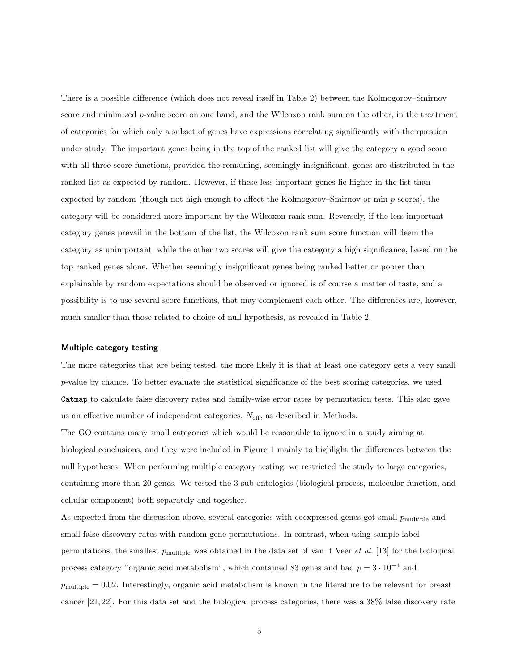There is a possible difference (which does not reveal itself in Table 2) between the Kolmogorov–Smirnov score and minimized  $p$ -value score on one hand, and the Wilcoxon rank sum on the other, in the treatment of categories for which only a subset of genes have expressions correlating significantly with the question under study. The important genes being in the top of the ranked list will give the category a good score with all three score functions, provided the remaining, seemingly insignificant, genes are distributed in the ranked list as expected by random. However, if these less important genes lie higher in the list than expected by random (though not high enough to affect the Kolmogorov–Smirnov or min-p scores), the category will be considered more important by the Wilcoxon rank sum. Reversely, if the less important category genes prevail in the bottom of the list, the Wilcoxon rank sum score function will deem the category as unimportant, while the other two scores will give the category a high significance, based on the top ranked genes alone. Whether seemingly insignificant genes being ranked better or poorer than explainable by random expectations should be observed or ignored is of course a matter of taste, and a possibility is to use several score functions, that may complement each other. The differences are, however, much smaller than those related to choice of null hypothesis, as revealed in Table 2.

#### Multiple category testing

The more categories that are being tested, the more likely it is that at least one category gets a very small p-value by chance. To better evaluate the statistical significance of the best scoring categories, we used Catmap to calculate false discovery rates and family-wise error rates by permutation tests. This also gave us an effective number of independent categories,  $N_{\text{eff}}$ , as described in Methods.

The GO contains many small categories which would be reasonable to ignore in a study aiming at biological conclusions, and they were included in Figure 1 mainly to highlight the differences between the null hypotheses. When performing multiple category testing, we restricted the study to large categories, containing more than 20 genes. We tested the 3 sub-ontologies (biological process, molecular function, and cellular component) both separately and together.

As expected from the discussion above, several categories with coexpressed genes got small  $p_{\text{multiple}}$  and small false discovery rates with random gene permutations. In contrast, when using sample label permutations, the smallest  $p_{\text{multiple}}$  was obtained in the data set of van 't Veer *et al.* [13] for the biological process category "organic acid metabolism", which contained 83 genes and had  $p = 3 \cdot 10^{-4}$  and  $p_{\text{multiple}} = 0.02$ . Interestingly, organic acid metabolism is known in the literature to be relevant for breast cancer [21, 22]. For this data set and the biological process categories, there was a 38% false discovery rate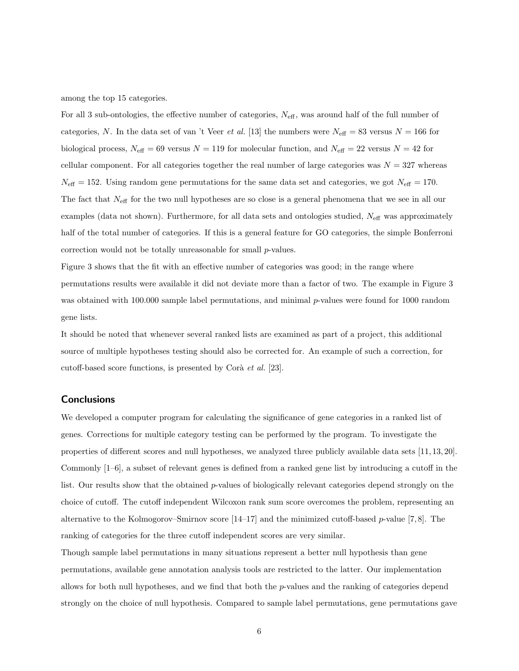among the top 15 categories.

For all 3 sub-ontologies, the effective number of categories,  $N_{\text{eff}}$ , was around half of the full number of categories, N. In the data set of van 't Veer et al. [13] the numbers were  $N_{\text{eff}} = 83$  versus  $N = 166$  for biological process,  $N_{\text{eff}} = 69$  versus  $N = 119$  for molecular function, and  $N_{\text{eff}} = 22$  versus  $N = 42$  for cellular component. For all categories together the real number of large categories was  $N = 327$  whereas  $N_{\text{eff}} = 152$ . Using random gene permutations for the same data set and categories, we got  $N_{\text{eff}} = 170$ . The fact that  $N_{\text{eff}}$  for the two null hypotheses are so close is a general phenomena that we see in all our examples (data not shown). Furthermore, for all data sets and ontologies studied,  $N_{\text{eff}}$  was approximately half of the total number of categories. If this is a general feature for GO categories, the simple Bonferroni correction would not be totally unreasonable for small p-values.

Figure 3 shows that the fit with an effective number of categories was good; in the range where permutations results were available it did not deviate more than a factor of two. The example in Figure 3 was obtained with 100.000 sample label permutations, and minimal p-values were found for 1000 random gene lists.

It should be noted that whenever several ranked lists are examined as part of a project, this additional source of multiple hypotheses testing should also be corrected for. An example of such a correction, for cutoff-based score functions, is presented by Corà  $et$  al. [23].

#### **Conclusions**

We developed a computer program for calculating the significance of gene categories in a ranked list of genes. Corrections for multiple category testing can be performed by the program. To investigate the properties of different scores and null hypotheses, we analyzed three publicly available data sets [11, 13, 20]. Commonly [1–6], a subset of relevant genes is defined from a ranked gene list by introducing a cutoff in the list. Our results show that the obtained p-values of biologically relevant categories depend strongly on the choice of cutoff. The cutoff independent Wilcoxon rank sum score overcomes the problem, representing an alternative to the Kolmogorov–Smirnov score  $[14–17]$  and the minimized cutoff-based p-value [7,8]. The ranking of categories for the three cutoff independent scores are very similar.

Though sample label permutations in many situations represent a better null hypothesis than gene permutations, available gene annotation analysis tools are restricted to the latter. Our implementation allows for both null hypotheses, and we find that both the p-values and the ranking of categories depend strongly on the choice of null hypothesis. Compared to sample label permutations, gene permutations gave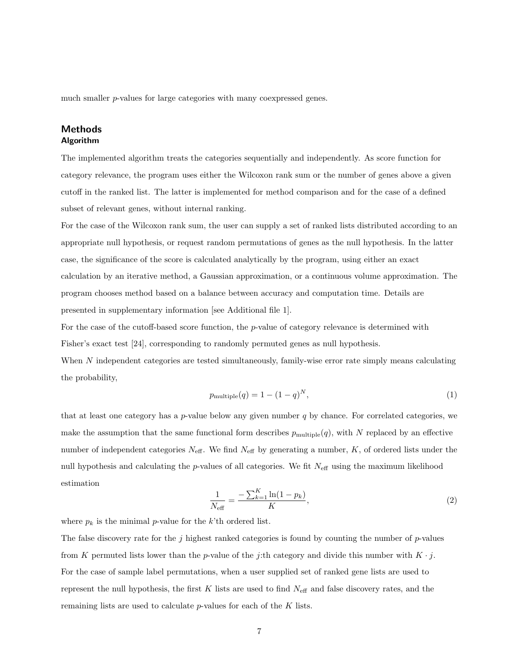much smaller *p*-values for large categories with many coexpressed genes.

## Methods Algorithm

The implemented algorithm treats the categories sequentially and independently. As score function for category relevance, the program uses either the Wilcoxon rank sum or the number of genes above a given cutoff in the ranked list. The latter is implemented for method comparison and for the case of a defined subset of relevant genes, without internal ranking.

For the case of the Wilcoxon rank sum, the user can supply a set of ranked lists distributed according to an appropriate null hypothesis, or request random permutations of genes as the null hypothesis. In the latter case, the significance of the score is calculated analytically by the program, using either an exact calculation by an iterative method, a Gaussian approximation, or a continuous volume approximation. The program chooses method based on a balance between accuracy and computation time. Details are presented in supplementary information [see Additional file 1].

For the case of the cutoff-based score function, the p-value of category relevance is determined with Fisher's exact test [24], corresponding to randomly permuted genes as null hypothesis.

When N independent categories are tested simultaneously, family-wise error rate simply means calculating the probability,

$$
p_{\text{multiple}}(q) = 1 - (1 - q)^N,\tag{1}
$$

that at least one category has a p-value below any given number  $q$  by chance. For correlated categories, we make the assumption that the same functional form describes  $p_{\text{multiple}}(q)$ , with N replaced by an effective number of independent categories  $N_{\text{eff}}$ . We find  $N_{\text{eff}}$  by generating a number, K, of ordered lists under the null hypothesis and calculating the  $p$ -values of all categories. We fit  $N_{\text{eff}}$  using the maximum likelihood estimation

$$
\frac{1}{N_{\text{eff}}} = \frac{-\sum_{k=1}^{K} \ln(1 - p_k)}{K},\tag{2}
$$

where  $p_k$  is the minimal p-value for the k'th ordered list.

The false discovery rate for the  $j$  highest ranked categories is found by counting the number of  $p$ -values from K permuted lists lower than the p-value of the j:th category and divide this number with  $K \cdot j$ . For the case of sample label permutations, when a user supplied set of ranked gene lists are used to represent the null hypothesis, the first K lists are used to find  $N_{\text{eff}}$  and false discovery rates, and the remaining lists are used to calculate  $p$ -values for each of the  $K$  lists.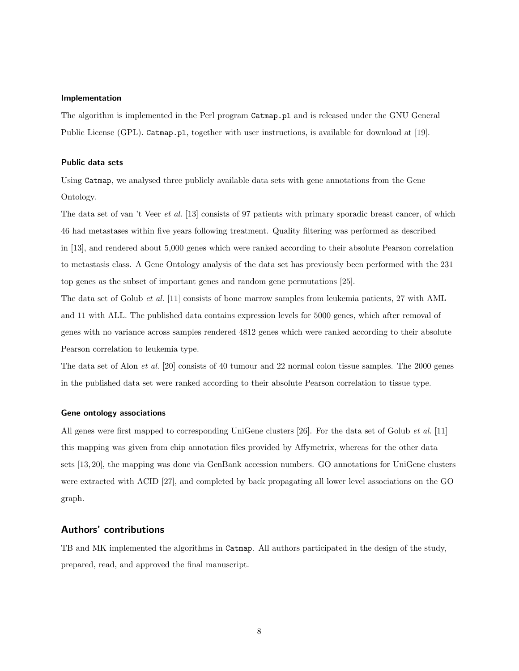#### Implementation

The algorithm is implemented in the Perl program Catmap.pl and is released under the GNU General Public License (GPL). Catmap.pl, together with user instructions, is available for download at [19].

#### Public data sets

Using Catmap, we analysed three publicly available data sets with gene annotations from the Gene Ontology.

The data set of van 't Veer et al. [13] consists of 97 patients with primary sporadic breast cancer, of which 46 had metastases within five years following treatment. Quality filtering was performed as described in [13], and rendered about 5,000 genes which were ranked according to their absolute Pearson correlation to metastasis class. A Gene Ontology analysis of the data set has previously been performed with the 231 top genes as the subset of important genes and random gene permutations [25].

The data set of Golub et al. [11] consists of bone marrow samples from leukemia patients, 27 with AML and 11 with ALL. The published data contains expression levels for 5000 genes, which after removal of genes with no variance across samples rendered 4812 genes which were ranked according to their absolute Pearson correlation to leukemia type.

The data set of Alon et al. [20] consists of 40 tumour and 22 normal colon tissue samples. The 2000 genes in the published data set were ranked according to their absolute Pearson correlation to tissue type.

#### Gene ontology associations

All genes were first mapped to corresponding UniGene clusters [26]. For the data set of Golub et al. [11] this mapping was given from chip annotation files provided by Affymetrix, whereas for the other data sets [13, 20], the mapping was done via GenBank accession numbers. GO annotations for UniGene clusters were extracted with ACID [27], and completed by back propagating all lower level associations on the GO graph.

#### Authors' contributions

TB and MK implemented the algorithms in Catmap. All authors participated in the design of the study, prepared, read, and approved the final manuscript.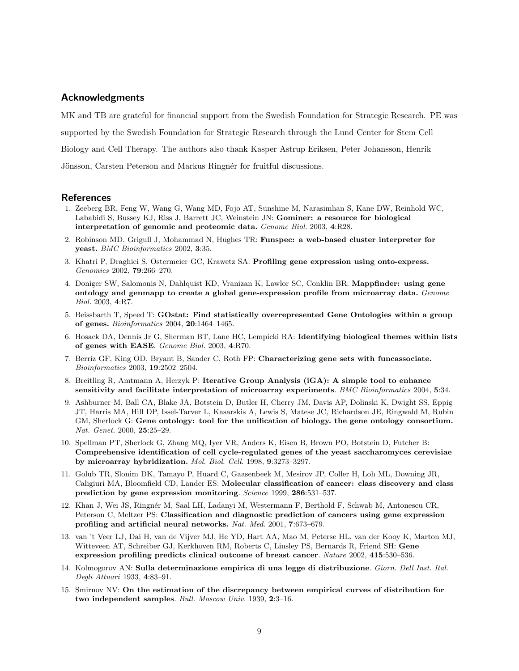### Acknowledgments

MK and TB are grateful for financial support from the Swedish Foundation for Strategic Research. PE was supported by the Swedish Foundation for Strategic Research through the Lund Center for Stem Cell Biology and Cell Therapy. The authors also thank Kasper Astrup Eriksen, Peter Johansson, Henrik Jönsson, Carsten Peterson and Markus Ringnér for fruitful discussions.

#### References

- 1. Zeeberg BR, Feng W, Wang G, Wang MD, Fojo AT, Sunshine M, Narasimhan S, Kane DW, Reinhold WC, Lababidi S, Bussey KJ, Riss J, Barrett JC, Weinstein JN: Gominer: a resource for biological interpretation of genomic and proteomic data. Genome Biol. 2003, 4:R28.
- 2. Robinson MD, Grigull J, Mohammad N, Hughes TR: Funspec: a web-based cluster interpreter for yeast. BMC Bioinformatics 2002, 3:35.
- 3. Khatri P, Draghici S, Ostermeier GC, Krawetz SA: Profiling gene expression using onto-express. Genomics 2002, 79:266–270.
- 4. Doniger SW, Salomonis N, Dahlquist KD, Vranizan K, Lawlor SC, Conklin BR: Mappfinder: using gene ontology and genmapp to create a global gene-expression profile from microarray data. Genome Biol. 2003, 4:R7.
- 5. Beissbarth T, Speed T: GOstat: Find statistically overrepresented Gene Ontologies within a group of genes. Bioinformatics 2004, 20:1464–1465.
- 6. Hosack DA, Dennis Jr G, Sherman BT, Lane HC, Lempicki RA: Identifying biological themes within lists of genes with EASE. Genome Biol. 2003, 4:R70.
- 7. Berriz GF, King OD, Bryant B, Sander C, Roth FP: Characterizing gene sets with funcassociate. Bioinformatics 2003, 19:2502–2504.
- 8. Breitling R, Amtmann A, Herzyk P: Iterative Group Analysis (iGA): A simple tool to enhance sensitivity and facilitate interpretation of microarray experiments. BMC Bioinformatics 2004, 5:34.
- 9. Ashburner M, Ball CA, Blake JA, Botstein D, Butler H, Cherry JM, Davis AP, Dolinski K, Dwight SS, Eppig JT, Harris MA, Hill DP, Issel-Tarver L, Kasarskis A, Lewis S, Matese JC, Richardson JE, Ringwald M, Rubin GM, Sherlock G: Gene ontology: tool for the unification of biology. the gene ontology consortium. Nat. Genet. 2000, 25:25–29.
- 10. Spellman PT, Sherlock G, Zhang MQ, Iyer VR, Anders K, Eisen B, Brown PO, Botstein D, Futcher B: Comprehensive identification of cell cycle-regulated genes of the yeast saccharomyces cerevisiae by microarray hybridization. Mol. Biol. Cell. 1998, 9:3273–3297.
- 11. Golub TR, Slonim DK, Tamayo P, Huard C, Gaasenbeek M, Mesirov JP, Coller H, Loh ML, Downing JR, Caligiuri MA, Bloomfield CD, Lander ES: Molecular classification of cancer: class discovery and class prediction by gene expression monitoring. Science 1999, 286:531–537.
- 12. Khan J, Wei JS, Ringn´er M, Saal LH, Ladanyi M, Westermann F, Berthold F, Schwab M, Antonescu CR, Peterson C, Meltzer PS: Classification and diagnostic prediction of cancers using gene expression profiling and artificial neural networks. Nat. Med. 2001, 7:673–679.
- 13. van 't Veer LJ, Dai H, van de Vijver MJ, He YD, Hart AA, Mao M, Peterse HL, van der Kooy K, Marton MJ, Witteveen AT, Schreiber GJ, Kerkhoven RM, Roberts C, Linsley PS, Bernards R, Friend SH: Gene expression profiling predicts clinical outcome of breast cancer. Nature 2002, 415:530–536.
- 14. Kolmogorov AN: Sulla determinazione empirica di una legge di distribuzione. Giorn. Dell Inst. Ital. Degli Attuari 1933, 4:83–91.
- 15. Smirnov NV: On the estimation of the discrepancy between empirical curves of distribution for two independent samples. Bull. Moscow Univ. 1939, 2:3–16.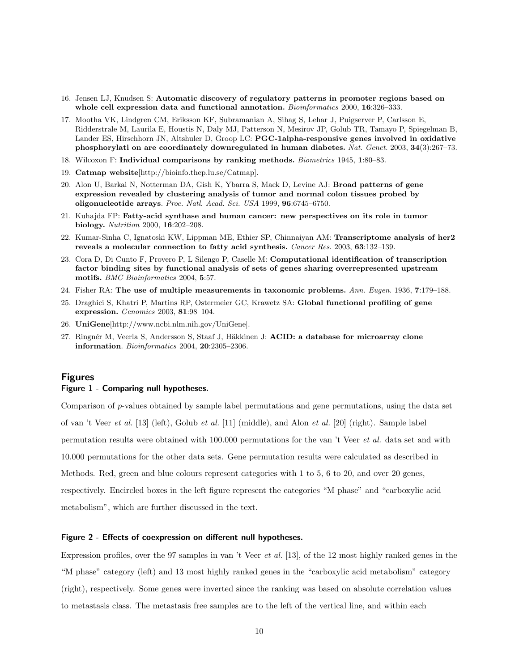- 16. Jensen LJ, Knudsen S: Automatic discovery of regulatory patterns in promoter regions based on whole cell expression data and functional annotation. Bioinformatics 2000, 16:326-333.
- 17. Mootha VK, Lindgren CM, Eriksson KF, Subramanian A, Sihag S, Lehar J, Puigserver P, Carlsson E, Ridderstrale M, Laurila E, Houstis N, Daly MJ, Patterson N, Mesirov JP, Golub TR, Tamayo P, Spiegelman B, Lander ES, Hirschhorn JN, Altshuler D, Groop LC: PGC-1alpha-responsive genes involved in oxidative phosphorylati on are coordinately downregulated in human diabetes. Nat. Genet. 2003, 34(3):267–73.
- 18. Wilcoxon F: Individual comparisons by ranking methods. Biometrics 1945, 1:80–83.
- 19. Catmap website[http://bioinfo.thep.lu.se/Catmap].
- 20. Alon U, Barkai N, Notterman DA, Gish K, Ybarra S, Mack D, Levine AJ: Broad patterns of gene expression revealed by clustering analysis of tumor and normal colon tissues probed by oligonucleotide arrays. Proc. Natl. Acad. Sci. USA 1999, 96:6745–6750.
- 21. Kuhajda FP: Fatty-acid synthase and human cancer: new perspectives on its role in tumor biology. Nutrition 2000, 16:202–208.
- 22. Kumar-Sinha C, Ignatoski KW, Lippman ME, Ethier SP, Chinnaiyan AM: Transcriptome analysis of her2 reveals a molecular connection to fatty acid synthesis. Cancer Res. 2003, 63:132–139.
- 23. Cora D, Di Cunto F, Provero P, L Silengo P, Caselle M: Computational identification of transcription factor binding sites by functional analysis of sets of genes sharing overrepresented upstream motifs. BMC Bioinformatics 2004, 5:57.
- 24. Fisher RA: The use of multiple measurements in taxonomic problems. Ann. Eugen. 1936, 7:179–188.
- 25. Draghici S, Khatri P, Martins RP, Ostermeier GC, Krawetz SA: Global functional profiling of gene expression. Genomics 2003, 81:98–104.
- 26. UniGene[http://www.ncbi.nlm.nih.gov/UniGene].
- 27. Ringnér M, Veerla S, Andersson S, Staaf J, Häkkinen J: ACID: a database for microarray clone information. Bioinformatics 2004, 20:2305–2306.

## Figures Figure 1 - Comparing null hypotheses.

Comparison of p-values obtained by sample label permutations and gene permutations, using the data set of van 't Veer et al. [13] (left), Golub et al. [11] (middle), and Alon et al. [20] (right). Sample label permutation results were obtained with 100.000 permutations for the van 't Veer et al. data set and with 10.000 permutations for the other data sets. Gene permutation results were calculated as described in Methods. Red, green and blue colours represent categories with 1 to 5, 6 to 20, and over 20 genes, respectively. Encircled boxes in the left figure represent the categories "M phase" and "carboxylic acid metabolism", which are further discussed in the text.

#### Figure 2 - Effects of coexpression on different null hypotheses.

Expression profiles, over the 97 samples in van 't Veer et al. [13], of the 12 most highly ranked genes in the "M phase" category (left) and 13 most highly ranked genes in the "carboxylic acid metabolism" category (right), respectively. Some genes were inverted since the ranking was based on absolute correlation values to metastasis class. The metastasis free samples are to the left of the vertical line, and within each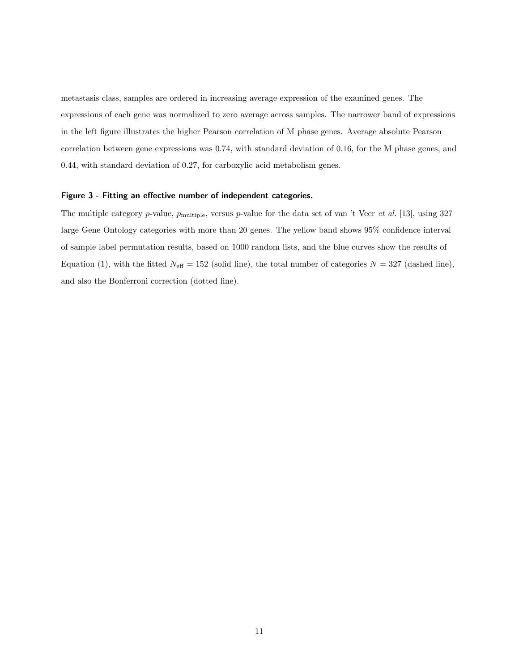metastasis class, samples are ordered in increasing average expression of the examined genes. The expressions of each gene was normalized to zero average across samples. The narrower band of expressions in the left figure illustrates the higher Pearson correlation of M phase genes. Average absolute Pearson correlation between gene expressions was 0.74, with standard deviation of 0.16, for the M phase genes, and 0.44, with standard deviation of 0.27, for carboxylic acid metabolism genes.

#### Figure 3 - Fitting an effective number of independent categories.

The multiple category p-value,  $p_{\text{multiple}}$ , versus p-value for the data set of van 't Veer et al. [13], using 327 large Gene Ontology categories with more than 20 genes. The yellow band shows 95% confidence interval of sample label permutation results, based on 1000 random lists, and the blue curves show the results of Equation (1), with the fitted  $N_{\text{eff}} = 152$  (solid line), the total number of categories  $N = 327$  (dashed line), and also the Bonferroni correction (dotted line).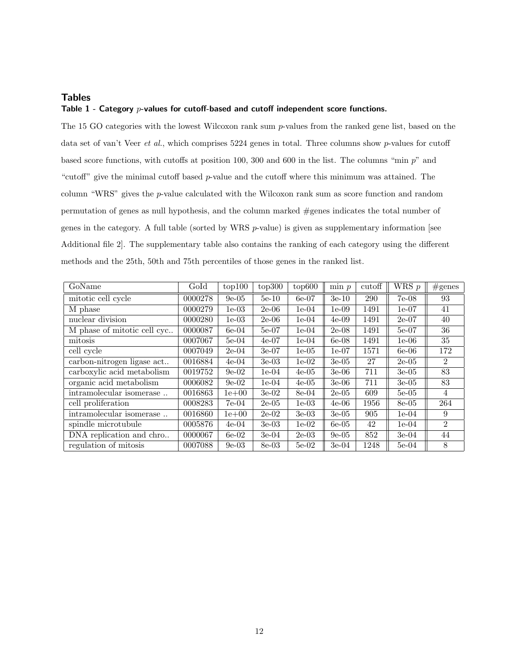## Tables

#### Table  $1$  - Category  $p$ -values for cutoff-based and cutoff independent score functions.

The 15 GO categories with the lowest Wilcoxon rank sum p-values from the ranked gene list, based on the data set of van't Veer et al., which comprises  $5224$  genes in total. Three columns show p-values for cutoff based score functions, with cutoffs at position 100, 300 and 600 in the list. The columns "min p" and "cutoff" give the minimal cutoff based p-value and the cutoff where this minimum was attained. The column "WRS" gives the p-value calculated with the Wilcoxon rank sum as score function and random permutation of genes as null hypothesis, and the column marked #genes indicates the total number of genes in the category. A full table (sorted by WRS p-value) is given as supplementary information [see Additional file 2]. The supplementary table also contains the ranking of each category using the different methods and the 25th, 50th and 75th percentiles of those genes in the ranked list.

| GoName                      | GoId    | top100  | top300  | top600  | $\min p$ | cutoff | WRS p   | # <sub>genes</sub> |
|-----------------------------|---------|---------|---------|---------|----------|--------|---------|--------------------|
| mitotic cell cycle          | 0000278 | $9e-05$ | $5e-10$ | 6e-07   | $3e-10$  | 290    | $7e-08$ | 93                 |
| M phase                     | 0000279 | $1e-03$ | $2e-06$ | $1e-04$ | $1e-09$  | 1491   | $1e-07$ | 41                 |
| nuclear division            | 0000280 | $1e-03$ | $2e-06$ | $1e-04$ | $4e-09$  | 1491   | $2e-07$ | 40                 |
| M phase of mitotic cell cyc | 0000087 | $6e-04$ | $5e-07$ | $1e-04$ | $2e-08$  | 1491   | $5e-07$ | 36                 |
| mitosis                     | 0007067 | $5e-04$ | $4e-07$ | $1e-04$ | $6e-08$  | 1491   | 1e-06   | 35                 |
| cell cycle                  | 0007049 | $2e-04$ | $3e-07$ | $1e-05$ | $1e-07$  | 1571   | 6e-06   | 172                |
| carbon-nitrogen ligase act  | 0016884 | $4e-04$ | $3e-03$ | $1e-02$ | $3e-05$  | 27     | $2e-05$ | $\overline{2}$     |
| carboxylic acid metabolism  | 0019752 | $9e-02$ | $1e-04$ | $4e-05$ | $3e-06$  | 711    | $3e-05$ | 83                 |
| organic acid metabolism     | 0006082 | $9e-02$ | $1e-04$ | $4e-05$ | $3e-06$  | 711    | $3e-05$ | 83                 |
| intramolecular isomerase    | 0016863 | $1e+00$ | $3e-02$ | 8e-04   | $2e-05$  | 609    | $5e-05$ | $\overline{4}$     |
| cell proliferation          | 0008283 | $7e-04$ | $2e-05$ | $1e-03$ | $4e-06$  | 1956   | 8e-05   | 264                |
| intramolecular isomerase    | 0016860 | $1e+00$ | $2e-02$ | $3e-03$ | $3e-05$  | 905    | $1e-04$ | 9                  |
| spindle microtubule         | 0005876 | $4e-04$ | $3e-03$ | $1e-02$ | $6e-05$  | 42     | $1e-04$ | $\overline{2}$     |
| DNA replication and chro    | 0000067 | $6e-02$ | $3e-04$ | $2e-03$ | $9e-05$  | 852    | $3e-04$ | 44                 |
| regulation of mitosis       | 0007088 | $9e-03$ | 8e-03   | $5e-02$ | $3e-04$  | 1248   | $5e-04$ | 8                  |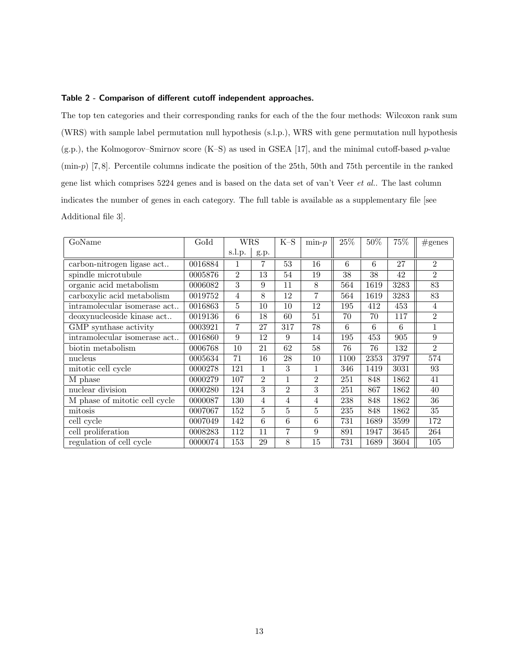#### Table 2 - Comparison of different cutoff independent approaches.

The top ten categories and their corresponding ranks for each of the the four methods: Wilcoxon rank sum (WRS) with sample label permutation null hypothesis (s.l.p.), WRS with gene permutation null hypothesis (g.p.), the Kolmogorov–Smirnov score (K–S) as used in GSEA [17], and the minimal cutoff-based p-value (min-p) [7, 8]. Percentile columns indicate the position of the 25th, 50th and 75th percentile in the ranked gene list which comprises 5224 genes and is based on the data set of van't Veer et al.. The last column indicates the number of genes in each category. The full table is available as a supplementary file [see Additional file 3].

| GoName                        | GoId    | <b>WRS</b>     |                | $K-S$          | $\min-p$       | 25%  | $50\%$ | $75\%$ | # <sub>genes</sub> |
|-------------------------------|---------|----------------|----------------|----------------|----------------|------|--------|--------|--------------------|
|                               |         | s.l.p.         | g.p.           |                |                |      |        |        |                    |
| carbon-nitrogen ligase act    | 0016884 | 1              | 7              | 53             | 16             | 6    | 6      | 27     | $\overline{2}$     |
| spindle microtubule           | 0005876 | $\overline{2}$ | 13             | 54             | 19             | 38   | 38     | 42     | $\overline{2}$     |
| organic acid metabolism       | 0006082 | 3              | 9              | 11             | 8              | 564  | 1619   | 3283   | 83                 |
| carboxylic acid metabolism    | 0019752 | $\overline{4}$ | 8              | 12             | 7              | 564  | 1619   | 3283   | 83                 |
| intramolecular isomerase act  | 0016863 | 5              | 10             | 10             | 12             | 195  | 412    | 453    | 4                  |
| deoxynucleoside kinase act    | 0019136 | 6              | 18             | 60             | 51             | 70   | 70     | 117    | $\overline{2}$     |
| GMP synthase activity         | 0003921 | $\overline{7}$ | 27             | 317            | 78             | 6    | 6      | 6      | 1                  |
| intramolecular isomerase act  | 0016860 | 9              | 12             | 9              | 14             | 195  | 453    | 905    | 9                  |
| biotin metabolism             | 0006768 | 10             | 21             | 62             | 58             | 76   | 76     | 132    | $\overline{2}$     |
| nucleus                       | 0005634 | 71             | 16             | 28             | 10             | 1100 | 2353   | 3797   | 574                |
| mitotic cell cycle            | 0000278 | 121            | $\mathbf{1}$   | 3              | $\mathbf{1}$   | 346  | 1419   | 3031   | 93                 |
| M phase                       | 0000279 | 107            | $\overline{2}$ | 1              | $\overline{2}$ | 251  | 848    | 1862   | 41                 |
| nuclear division              | 0000280 | 124            | 3              | $\overline{2}$ | 3              | 251  | 867    | 1862   | 40                 |
| M phase of mitotic cell cycle | 0000087 | 130            | $\overline{4}$ | 4              | 4              | 238  | 848    | 1862   | 36                 |
| mitosis                       | 0007067 | 152            | 5              | 5              | 5              | 235  | 848    | 1862   | 35                 |
| cell cycle                    | 0007049 | 142            | 6              | 6              | 6              | 731  | 1689   | 3599   | 172                |
| cell proliferation            | 0008283 | 112            | 11             | 7              | 9              | 891  | 1947   | 3645   | 264                |
| regulation of cell cycle      | 0000074 | 153            | 29             | 8              | 15             | 731  | 1689   | 3604   | 105                |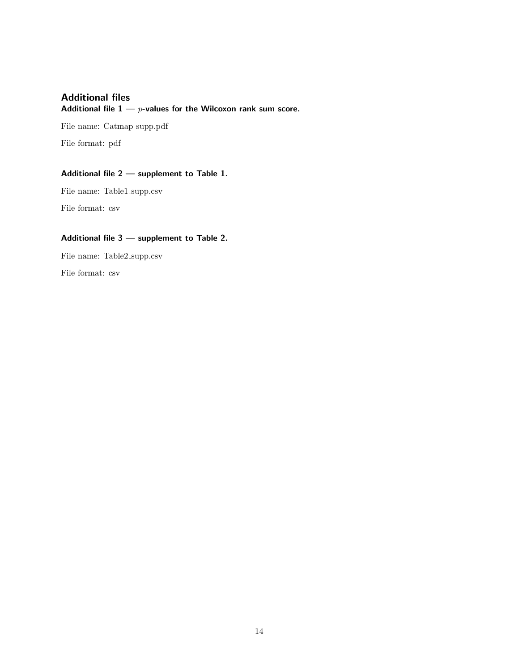## Additional files

# Additional file  $1 - p$ -values for the Wilcoxon rank sum score.

File name: Catmap supp.pdf

File format: pdf

## Additional file 2 — supplement to Table 1.

File name: Table1 supp.csv

File format: csv

## Additional file 3 — supplement to Table 2.

File name: Table2 supp.csv

File format: csv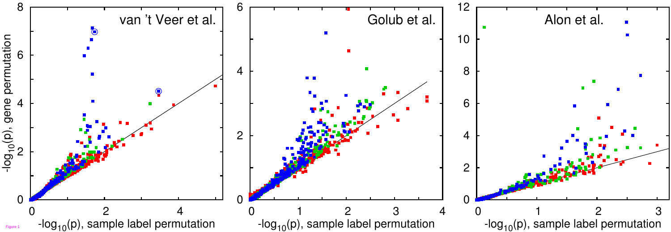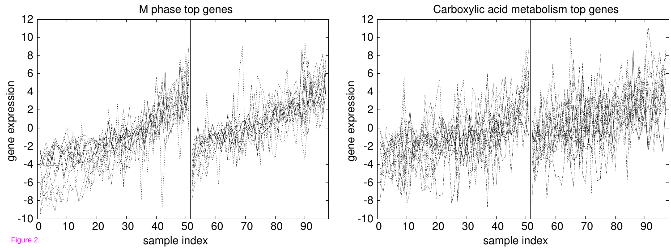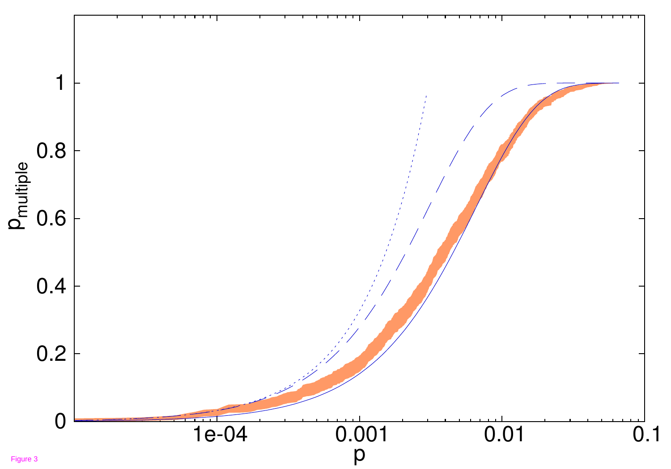